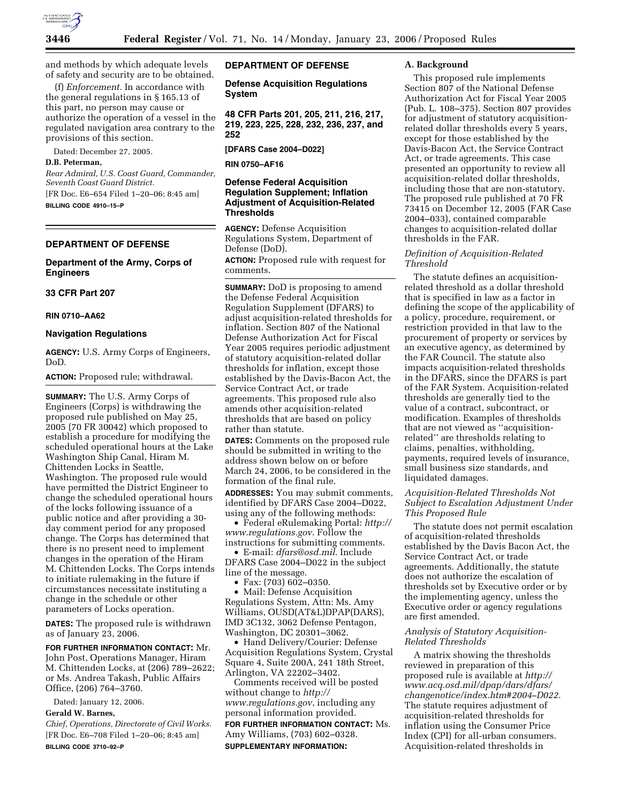

and methods by which adequate levels of safety and security are to be obtained.

(f) *Enforcement.* In accordance with the general regulations in § 165.13 of this part, no person may cause or authorize the operation of a vessel in the regulated navigation area contrary to the provisions of this section.

Dated: December 27, 2005.

## **D.B. Peterman,**

*Rear Admiral, U.S. Coast Guard, Commander, Seventh Coast Guard District.*  [FR Doc. E6–654 Filed 1–20–06; 8:45 am] **BILLING CODE 4910–15–P** 

#### **DEPARTMENT OF DEFENSE**

## **Department of the Army, Corps of Engineers**

## **33 CFR Part 207**

#### **RIN 0710–AA62**

## **Navigation Regulations**

**AGENCY:** U.S. Army Corps of Engineers, DoD.

**ACTION:** Proposed rule; withdrawal.

**SUMMARY:** The U.S. Army Corps of Engineers (Corps) is withdrawing the proposed rule published on May 25, 2005 (70 FR 30042) which proposed to establish a procedure for modifying the scheduled operational hours at the Lake Washington Ship Canal, Hiram M. Chittenden Locks in Seattle, Washington. The proposed rule would have permitted the District Engineer to change the scheduled operational hours of the locks following issuance of a public notice and after providing a 30 day comment period for any proposed change. The Corps has determined that there is no present need to implement changes in the operation of the Hiram M. Chittenden Locks. The Corps intends to initiate rulemaking in the future if circumstances necessitate instituting a change in the schedule or other parameters of Locks operation.

**DATES:** The proposed rule is withdrawn as of January 23, 2006.

**FOR FURTHER INFORMATION CONTACT:** Mr. John Post, Operations Manager, Hiram M. Chittenden Locks, at (206) 789–2622; or Ms. Andrea Takash, Public Affairs Office, (206) 764–3760.

Dated: January 12, 2006.

**Gerald W. Barnes,** 

*Chief, Operations, Directorate of Civil Works.*  [FR Doc. E6–708 Filed 1–20–06; 8:45 am] **BILLING CODE 3710–92–P** 

# **DEPARTMENT OF DEFENSE**

**Defense Acquisition Regulations System** 

**48 CFR Parts 201, 205, 211, 216, 217, 219, 223, 225, 228, 232, 236, 237, and 252** 

**[DFARS Case 2004–D022]** 

**RIN 0750–AF16** 

# **Defense Federal Acquisition Regulation Supplement; Inflation Adjustment of Acquisition-Related Thresholds**

**AGENCY:** Defense Acquisition Regulations System, Department of Defense (DoD).

**ACTION:** Proposed rule with request for comments.

**SUMMARY:** DoD is proposing to amend the Defense Federal Acquisition Regulation Supplement (DFARS) to adjust acquisition-related thresholds for inflation. Section 807 of the National Defense Authorization Act for Fiscal Year 2005 requires periodic adjustment of statutory acquisition-related dollar thresholds for inflation, except those established by the Davis-Bacon Act, the Service Contract Act, or trade agreements. This proposed rule also amends other acquisition-related thresholds that are based on policy rather than statute.

**DATES:** Comments on the proposed rule should be submitted in writing to the address shown below on or before March 24, 2006, to be considered in the formation of the final rule.

**ADDRESSES:** You may submit comments, identified by DFARS Case 2004–D022, using any of the following methods:

• Federal eRulemaking Portal: *http:// www.regulations.gov*. Follow the instructions for submitting comments.

• E-mail: *dfars@osd.mil*. Include DFARS Case 2004–D022 in the subject line of the message.

• Fax: (703) 602-0350.

• Mail: Defense Acquisition Regulations System, Attn: Ms. Amy Williams, OUSD(AT&L)DPAP(DARS), IMD 3C132, 3062 Defense Pentagon, Washington, DC 20301–3062.

• Hand Delivery/Courier: Defense Acquisition Regulations System, Crystal Square 4, Suite 200A, 241 18th Street, Arlington, VA 22202–3402.

Comments received will be posted without change to *http:// www.regulations.gov*, including any personal information provided.

**FOR FURTHER INFORMATION CONTACT:** Ms. Amy Williams, (703) 602–0328. **SUPPLEMENTARY INFORMATION:** 

## **A. Background**

This proposed rule implements Section 807 of the National Defense Authorization Act for Fiscal Year 2005 (Pub. L. 108–375). Section 807 provides for adjustment of statutory acquisitionrelated dollar thresholds every 5 years, except for those established by the Davis-Bacon Act, the Service Contract Act, or trade agreements. This case presented an opportunity to review all acquisition-related dollar thresholds, including those that are non-statutory. The proposed rule published at 70 FR 73415 on December 12, 2005 (FAR Case 2004–033), contained comparable changes to acquisition-related dollar thresholds in the FAR.

# *Definition of Acquisition-Related Threshold*

The statute defines an acquisitionrelated threshold as a dollar threshold that is specified in law as a factor in defining the scope of the applicability of a policy, procedure, requirement, or restriction provided in that law to the procurement of property or services by an executive agency, as determined by the FAR Council. The statute also impacts acquisition-related thresholds in the DFARS, since the DFARS is part of the FAR System. Acquisition-related thresholds are generally tied to the value of a contract, subcontract, or modification. Examples of thresholds that are not viewed as ''acquisitionrelated'' are thresholds relating to claims, penalties, withholding, payments, required levels of insurance, small business size standards, and liquidated damages.

# *Acquisition-Related Thresholds Not Subject to Escalation Adjustment Under This Proposed Rule*

The statute does not permit escalation of acquisition-related thresholds established by the Davis Bacon Act, the Service Contract Act, or trade agreements. Additionally, the statute does not authorize the escalation of thresholds set by Executive order or by the implementing agency, unless the Executive order or agency regulations are first amended.

## *Analysis of Statutory Acquisition-Related Thresholds*

A matrix showing the thresholds reviewed in preparation of this proposed rule is available at *http:// www.acq.osd.mil/dpap/dars/dfars/ changenotice/index.htm#2004–D022*. The statute requires adjustment of acquisition-related thresholds for inflation using the Consumer Price Index (CPI) for all-urban consumers. Acquisition-related thresholds in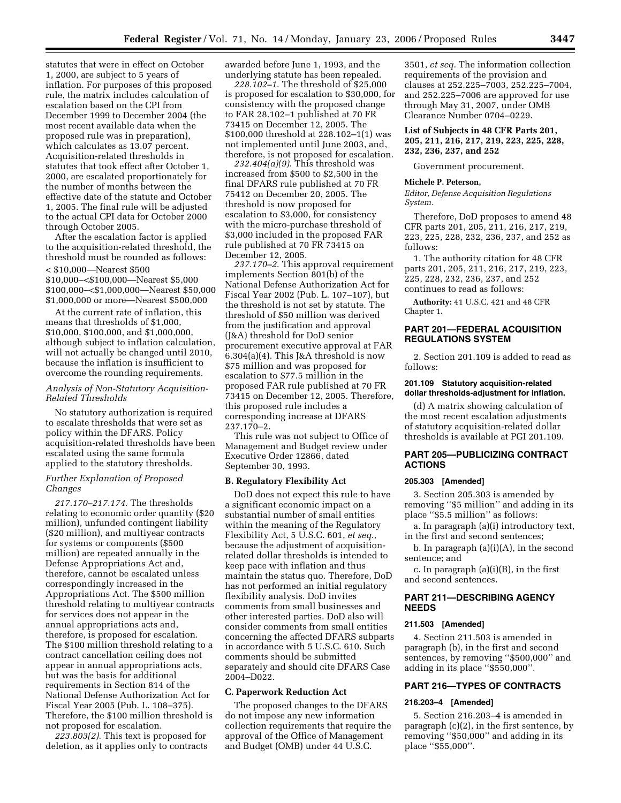statutes that were in effect on October 1, 2000, are subject to 5 years of inflation. For purposes of this proposed rule, the matrix includes calculation of escalation based on the CPI from December 1999 to December 2004 (the most recent available data when the proposed rule was in preparation), which calculates as 13.07 percent. Acquisition-related thresholds in statutes that took effect after October 1, 2000, are escalated proportionately for the number of months between the effective date of the statute and October 1, 2005. The final rule will be adjusted to the actual CPI data for October 2000 through October 2005.

After the escalation factor is applied to the acquisition-related threshold, the threshold must be rounded as follows: < \$10,000—Nearest \$500 \$10,000–<\$100,000—Nearest \$5,000 \$100,000–<\$1,000,000—Nearest \$50,000 \$1,000,000 or more—Nearest \$500,000

At the current rate of inflation, this means that thresholds of \$1,000, \$10,000, \$100,000, and \$1,000,000, although subject to inflation calculation, will not actually be changed until 2010, because the inflation is insufficient to overcome the rounding requirements.

# *Analysis of Non-Statutory Acquisition-Related Thresholds*

No statutory authorization is required to escalate thresholds that were set as policy within the DFARS. Policy acquisition-related thresholds have been escalated using the same formula applied to the statutory thresholds.

# *Further Explanation of Proposed Changes*

*217.170–217.174*. The thresholds relating to economic order quantity (\$20 million), unfunded contingent liability (\$20 million), and multiyear contracts for systems or components (\$500 million) are repeated annually in the Defense Appropriations Act and, therefore, cannot be escalated unless correspondingly increased in the Appropriations Act. The \$500 million threshold relating to multiyear contracts for services does not appear in the annual appropriations acts and, therefore, is proposed for escalation. The \$100 million threshold relating to a contract cancellation ceiling does not appear in annual appropriations acts, but was the basis for additional requirements in Section 814 of the National Defense Authorization Act for Fiscal Year 2005 (Pub. L. 108–375). Therefore, the \$100 million threshold is not proposed for escalation.

*223.803(2)*. This text is proposed for deletion, as it applies only to contracts awarded before June 1, 1993, and the underlying statute has been repealed.

*228.102–1*. The threshold of \$25,000 is proposed for escalation to \$30,000, for consistency with the proposed change to FAR 28.102–1 published at 70 FR 73415 on December 12, 2005. The \$100,000 threshold at 228.102–1(1) was not implemented until June 2003, and, therefore, is not proposed for escalation.

*232.404(a)(9)*. This threshold was increased from \$500 to \$2,500 in the final DFARS rule published at 70 FR 75412 on December 20, 2005. The threshold is now proposed for escalation to \$3,000, for consistency with the micro-purchase threshold of \$3,000 included in the proposed FAR rule published at 70 FR 73415 on December 12, 2005.

*237.170–2*. This approval requirement implements Section 801(b) of the National Defense Authorization Act for Fiscal Year 2002 (Pub. L. 107–107), but the threshold is not set by statute. The threshold of \$50 million was derived from the justification and approval (J&A) threshold for DoD senior procurement executive approval at FAR 6.304(a)(4). This J&A threshold is now \$75 million and was proposed for escalation to \$77.5 million in the proposed FAR rule published at 70 FR 73415 on December 12, 2005. Therefore, this proposed rule includes a corresponding increase at DFARS 237.170–2.

This rule was not subject to Office of Management and Budget review under Executive Order 12866, dated September 30, 1993.

### **B. Regulatory Flexibility Act**

DoD does not expect this rule to have a significant economic impact on a substantial number of small entities within the meaning of the Regulatory Flexibility Act, 5 U.S.C. 601, *et seq.*, because the adjustment of acquisitionrelated dollar thresholds is intended to keep pace with inflation and thus maintain the status quo. Therefore, DoD has not performed an initial regulatory flexibility analysis. DoD invites comments from small businesses and other interested parties. DoD also will consider comments from small entities concerning the affected DFARS subparts in accordance with 5 U.S.C. 610. Such comments should be submitted separately and should cite DFARS Case 2004–D022.

#### **C. Paperwork Reduction Act**

The proposed changes to the DFARS do not impose any new information collection requirements that require the approval of the Office of Management and Budget (OMB) under 44 U.S.C.

3501, *et seq.* The information collection requirements of the provision and clauses at 252.225–7003, 252.225–7004, and 252.225–7006 are approved for use through May 31, 2007, under OMB Clearance Number 0704–0229.

**List of Subjects in 48 CFR Parts 201, 205, 211, 216, 217, 219, 223, 225, 228, 232, 236, 237, and 252** 

Government procurement.

## **Michele P. Peterson,**

*Editor, Defense Acquisition Regulations System.* 

Therefore, DoD proposes to amend 48 CFR parts 201, 205, 211, 216, 217, 219, 223, 225, 228, 232, 236, 237, and 252 as follows:

1. The authority citation for 48 CFR parts 201, 205, 211, 216, 217, 219, 223, 225, 228, 232, 236, 237, and 252 continues to read as follows:

**Authority:** 41 U.S.C. 421 and 48 CFR Chapter 1.

# **PART 201—FEDERAL ACQUISITION REGULATIONS SYSTEM**

2. Section 201.109 is added to read as follows:

### **201.109 Statutory acquisition-related dollar thresholds-adjustment for inflation.**

(d) A matrix showing calculation of the most recent escalation adjustments of statutory acquisition-related dollar thresholds is available at PGI 201.109.

### **PART 205—PUBLICIZING CONTRACT ACTIONS**

#### **205.303 [Amended]**

3. Section 205.303 is amended by removing ''\$5 million'' and adding in its place ''\$5.5 million'' as follows:

a. In paragraph (a)(i) introductory text, in the first and second sentences;

b. In paragraph (a)(i)(A), in the second sentence; and

c. In paragraph (a)(i)(B), in the first and second sentences.

# **PART 211—DESCRIBING AGENCY NEEDS**

#### **211.503 [Amended]**

4. Section 211.503 is amended in paragraph (b), in the first and second sentences, by removing "\$500,000" and adding in its place ''\$550,000''.

# **PART 216—TYPES OF CONTRACTS**

#### **216.203–4 [Amended]**

5. Section 216.203–4 is amended in paragraph (c)(2), in the first sentence, by removing ''\$50,000'' and adding in its place ''\$55,000''.